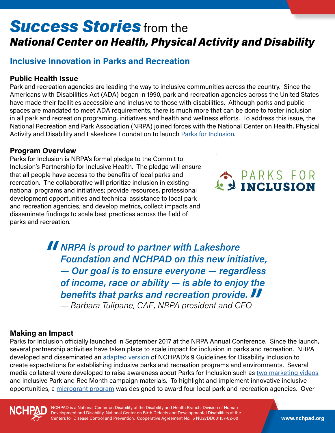# **Success Stories** from the *National Center on Health, Physical Activity and Disability*

## **Inclusive Innovation in Parks and Recreation**

### **Public Health Issue**

Park and recreation agencies are leading the way to inclusive communities across the country. Since the Americans with Disabilities Act (ADA) began in 1990, park and recreation agencies across the United States have made their facilities accessible and inclusive to those with disabilities. Although parks and public spaces are mandated to meet ADA requirements, there is much more that can be done to foster inclusion in all park and recreation programing, initiatives and health and wellness efforts. To address this issue, the National Recreation and Park Association (NRPA) joined forces with the National Center on Health, Physical Activity and Disability and Lakeshore Foundation to launch [Parks for Inclusion](http://www.nrpa.org/our-work/partnerships/initiatives/parks-for-inclusion/).

#### **Program Overview**

Parks for Inclusion is NRPA's formal pledge to the Commit to Inclusion's Partnership for Inclusive Health. The pledge will ensure that all people have access to the benefits of local parks and recreation. The collaborative will prioritize inclusion in existing national programs and initiatives; provide resources, professional development opportunities and technical assistance to local park and recreation agencies; and develop metrics, collect impacts and disseminate findings to scale best practices across the field of parks and recreation.



*NRPA is proud to partner with Lakeshore Foundation and NCHPAD on this new initiative, — Our goal is to ensure everyone — regardless of income, race or ability — is able to enjoy the benefits that parks and recreation provide. — Barbara Tulipane, CAE, NRPA president and CEO*

### **Making an Impact**

Parks for Inclusion officially launched in September 2017 at the NRPA Annual Conference. Since the launch, several partnership activities have taken place to scale impact for inclusion in parks and recreation. NRPA developed and disseminated an [adapted version](http://www.nrpa.org/contentassets/adf76d09aef54240b4eb449ce6111b96/parks-for-inclusion-guidelines-nrpa.pdf) of NCHPAD's 9 Guidelines for Disability Inclusion to create expectations for establishing inclusive parks and recreation programs and environments. Several media collateral were developed to raise awareness about Parks for Inclusion such as [two marketing videos](https://www.youtube.com/playlist?list=PLwMObYmlSHaP--3jsCRg400aczmXjZUtI) and inclusive Park and Rec Month campaign materials. To highlight and implement innovative inclusive opportunities, a [microgrant program](http://www.nrpa.org/About-National-Recreation-and-Park-Association/press-room/nrpa-awards-$4000-in-microgrant-funding-to-support-innovative-inclusive-projects-in-parks-and-recreation/?utm_source=twitter) was designed to award four local park and recreation agencies. Over



NCHPAD is a National Center on Disability of the Disability and Health Branch, Division of Human Development and Disability, National Center on Birth Defects and Developmental Disabilities at the Centers for Disease Control and Prevention. Cooperative Agreement No. 5 NU27DD001157-02-00 **www.nchpad.org**